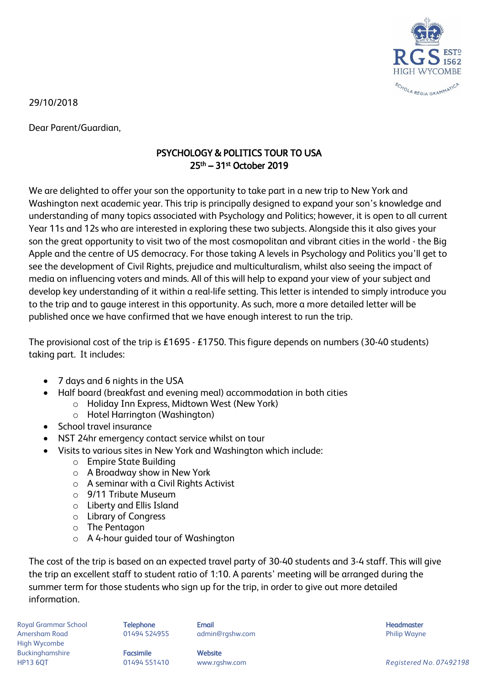

29/10/2018

Dear Parent/Guardian,

## PSYCHOLOGY & POLITICS TOUR TO USA 25th – 31st October 2019

We are delighted to offer your son the opportunity to take part in a new trip to New York and Washington next academic year. This trip is principally designed to expand your son's knowledge and understanding of many topics associated with Psychology and Politics; however, it is open to all current Year 11s and 12s who are interested in exploring these two subjects. Alongside this it also gives your son the great opportunity to visit two of the most cosmopolitan and vibrant cities in the world - the Big Apple and the centre of US democracy. For those taking A levels in Psychology and Politics you'll get to see the development of Civil Rights, prejudice and multiculturalism, whilst also seeing the impact of media on influencing voters and minds. All of this will help to expand your view of your subject and develop key understanding of it within a real-life setting. This letter is intended to simply introduce you to the trip and to gauge interest in this opportunity. As such, more a more detailed letter will be published once we have confirmed that we have enough interest to run the trip.

The provisional cost of the trip is £1695 - £1750. This figure depends on numbers (30-40 students) taking part. It includes:

- 7 days and 6 nights in the USA
- Half board (breakfast and evening meal) accommodation in both cities
	- o Holiday Inn Express, Midtown West (New York)
	- o Hotel Harrington (Washington)
- School travel insurance
- NST 24hr emergency contact service whilst on tour
- Visits to various sites in New York and Washington which include:
	- o Empire State Building
	- o A Broadway show in New York
	- o A seminar with a Civil Rights Activist
	- o 9/11 Tribute Museum
	- o Liberty and Ellis Island
	- o Library of Congress
	- o The Pentagon
	- o A 4-hour guided tour of Washington

The cost of the trip is based on an expected travel party of 30-40 students and 3-4 staff. This will give the trip an excellent staff to student ratio of 1:10. A parents' meeting will be arranged during the summer term for those students who sign up for the trip, in order to give out more detailed information.

Royal Grammar School **Telephone Email Headmaster Email Headmaster Headmaster Headmaster** Amersham Road **8. Community 1948 124955** admin@rgshw.com **Community Community Philip Wayne** High Wycombe Buckinghamshire **Facsimile Facsimile** Website

HP13 6QT 01494 551410 www.rgshw.com *Registered No. 07492198*